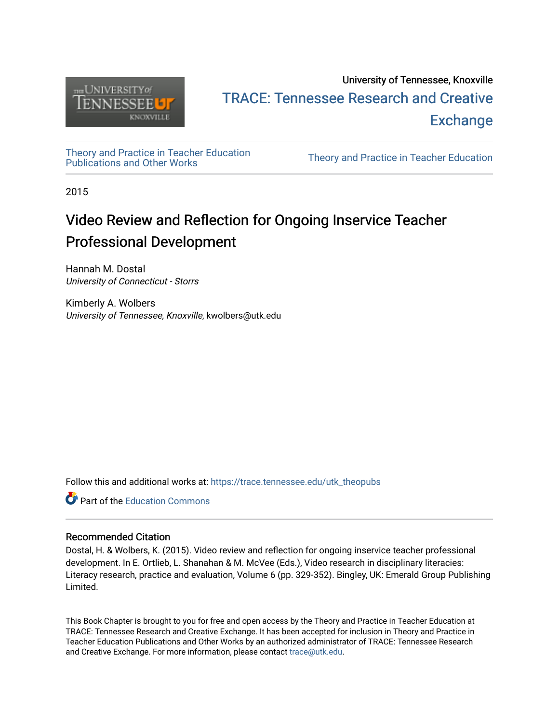

# University of Tennessee, Knoxville TRACE: T[ennessee Research and Cr](https://trace.tennessee.edu/)eative **Exchange**

[Theory and Practice in Teacher Education](https://trace.tennessee.edu/utk_theopubs)

Theory and Practice in Teacher Education

2015

# Video Review and Reflection for Ongoing Inservice Teacher Professional Development

Hannah M. Dostal University of Connecticut - Storrs

Kimberly A. Wolbers University of Tennessee, Knoxville, kwolbers@utk.edu

Follow this and additional works at: [https://trace.tennessee.edu/utk\\_theopubs](https://trace.tennessee.edu/utk_theopubs?utm_source=trace.tennessee.edu%2Futk_theopubs%2F11&utm_medium=PDF&utm_campaign=PDFCoverPages)

**Part of the [Education Commons](https://network.bepress.com/hgg/discipline/784?utm_source=trace.tennessee.edu%2Futk_theopubs%2F11&utm_medium=PDF&utm_campaign=PDFCoverPages)** 

### Recommended Citation

Dostal, H. & Wolbers, K. (2015). Video review and reflection for ongoing inservice teacher professional development. In E. Ortlieb, L. Shanahan & M. McVee (Eds.), Video research in disciplinary literacies: Literacy research, practice and evaluation, Volume 6 (pp. 329-352). Bingley, UK: Emerald Group Publishing Limited.

This Book Chapter is brought to you for free and open access by the Theory and Practice in Teacher Education at TRACE: Tennessee Research and Creative Exchange. It has been accepted for inclusion in Theory and Practice in Teacher Education Publications and Other Works by an authorized administrator of TRACE: Tennessee Research and Creative Exchange. For more information, please contact [trace@utk.edu](mailto:trace@utk.edu).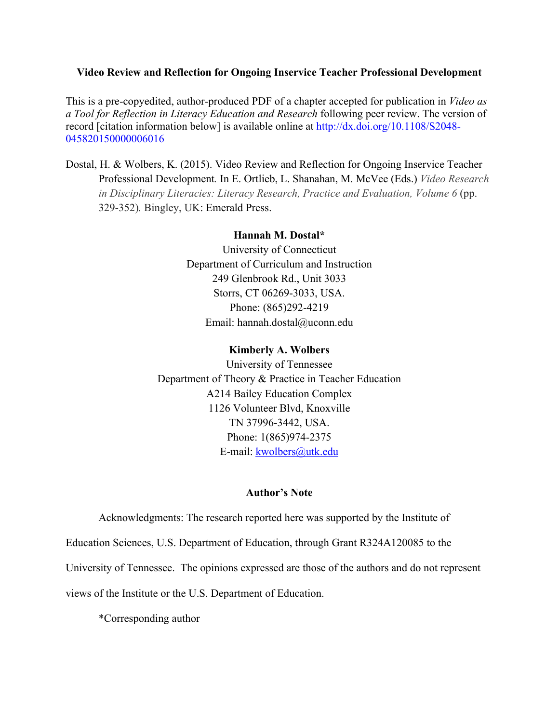### **Video Review and Reflection for Ongoing Inservice Teacher Professional Development**

This is a pre-copyedited, author-produced PDF of a chapter accepted for publication in *Video as a Tool for Reflection in Literacy Education and Research* following peer review. The version of record [citation information below] is available online at http://dx.doi.org/10.1108/S2048- 045820150000006016

Dostal, H. & Wolbers, K. (2015). Video Review and Reflection for Ongoing Inservice Teacher Professional Development*.* In E. Ortlieb, L. Shanahan, M. McVee (Eds.) *Video Research in Disciplinary Literacies: Literacy Research, Practice and Evaluation, Volume 6* (pp. 329-352)*.* Bingley, UK: Emerald Press.

#### **Hannah M. Dostal\***

University of Connecticut Department of Curriculum and Instruction 249 Glenbrook Rd., Unit 3033 Storrs, CT 06269-3033, USA. Phone: (865)292-4219 Email: hannah.dostal@uconn.edu

#### **Kimberly A. Wolbers**

University of Tennessee Department of Theory & Practice in Teacher Education A214 Bailey Education Complex 1126 Volunteer Blvd, Knoxville TN 37996-3442, USA. Phone: 1(865)974-2375 E-mail: kwolbers@utk.edu

#### **Author's Note**

Acknowledgments: The research reported here was supported by the Institute of

Education Sciences, U.S. Department of Education, through Grant R324A120085 to the

University of Tennessee. The opinions expressed are those of the authors and do not represent

views of the Institute or the U.S. Department of Education.

\*Corresponding author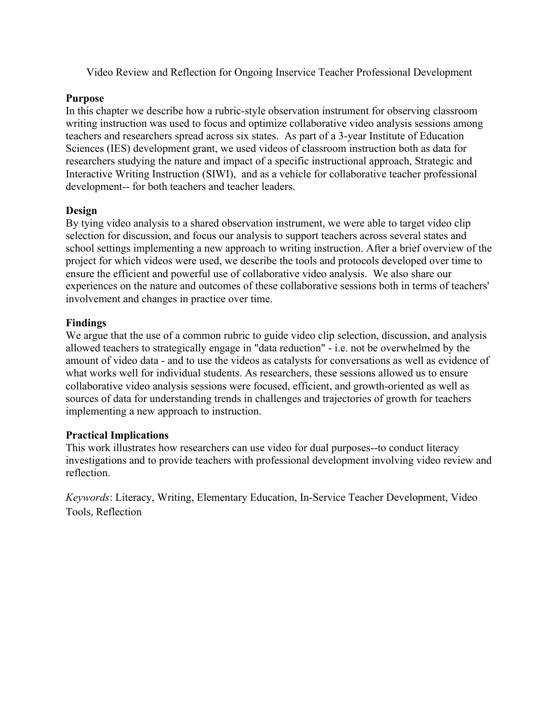Video Review and Reflection for Ongoing Inservice Teacher Professional Development

## **Purpose**

In this chapter we describe how a rubric-style observation instrument for observing classroom writing instruction was used to focus and optimize collaborative video analysis sessions among teachers and researchers spread across six states. As part of a 3-year Institute of Education Sciences (IES) development grant, we used videos of classroom instruction both as data for researchers studying the nature and impact of a specific instructional approach, Strategic and Interactive Writing Instruction (SIWI), and as a vehicle for collaborative teacher professional development-- for both teachers and teacher leaders.

## **Design**

By tying video analysis to a shared observation instrument, we were able to target video clip selection for discussion, and focus our analysis to support teachers across several states and school settings implementing a new approach to writing instruction. After a brief overview of the project for which videos were used, we describe the tools and protocols developed over time to ensure the efficient and powerful use of collaborative video analysis. We also share our experiences on the nature and outcomes of these collaborative sessions both in terms of teachers' involvement and changes in practice over time.

## **Findings**

We argue that the use of a common rubric to guide video clip selection, discussion, and analysis allowed teachers to strategically engage in "data reduction" - i.e. not be overwhelmed by the amount of video data - and to use the videos as catalysts for conversations as well as evidence of what works well for individual students. As researchers, these sessions allowed us to ensure collaborative video analysis sessions were focused, efficient, and growth-oriented as well as sources of data for understanding trends in challenges and trajectories of growth for teachers implementing a new approach to instruction.

### **Practical Implications**

This work illustrates how researchers can use video for dual purposes--to conduct literacy investigations and to provide teachers with professional development involving video review and reflection.

*Keywords*: Literacy, Writing, Elementary Education, In-Service Teacher Development, Video Tools, Reflection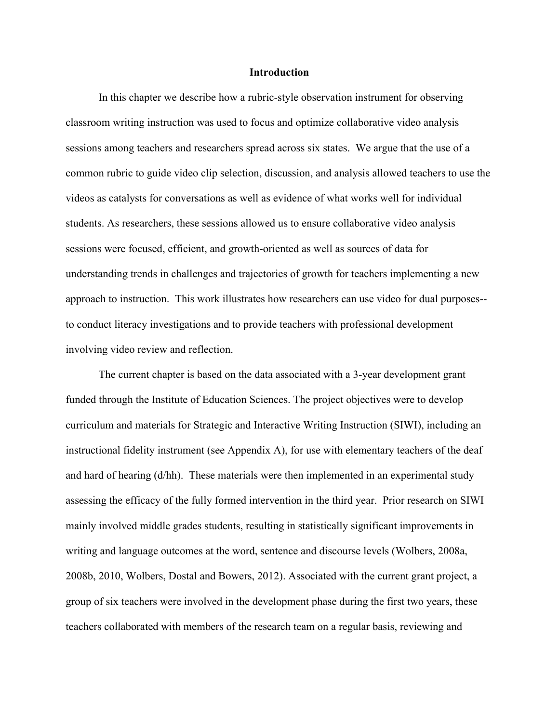#### **Introduction**

In this chapter we describe how a rubric-style observation instrument for observing classroom writing instruction was used to focus and optimize collaborative video analysis sessions among teachers and researchers spread across six states. We argue that the use of a common rubric to guide video clip selection, discussion, and analysis allowed teachers to use the videos as catalysts for conversations as well as evidence of what works well for individual students. As researchers, these sessions allowed us to ensure collaborative video analysis sessions were focused, efficient, and growth-oriented as well as sources of data for understanding trends in challenges and trajectories of growth for teachers implementing a new approach to instruction. This work illustrates how researchers can use video for dual purposes- to conduct literacy investigations and to provide teachers with professional development involving video review and reflection.

The current chapter is based on the data associated with a 3-year development grant funded through the Institute of Education Sciences. The project objectives were to develop curriculum and materials for Strategic and Interactive Writing Instruction (SIWI), including an instructional fidelity instrument (see Appendix A), for use with elementary teachers of the deaf and hard of hearing (d/hh). These materials were then implemented in an experimental study assessing the efficacy of the fully formed intervention in the third year. Prior research on SIWI mainly involved middle grades students, resulting in statistically significant improvements in writing and language outcomes at the word, sentence and discourse levels (Wolbers, 2008a, 2008b, 2010, Wolbers, Dostal and Bowers, 2012). Associated with the current grant project, a group of six teachers were involved in the development phase during the first two years, these teachers collaborated with members of the research team on a regular basis, reviewing and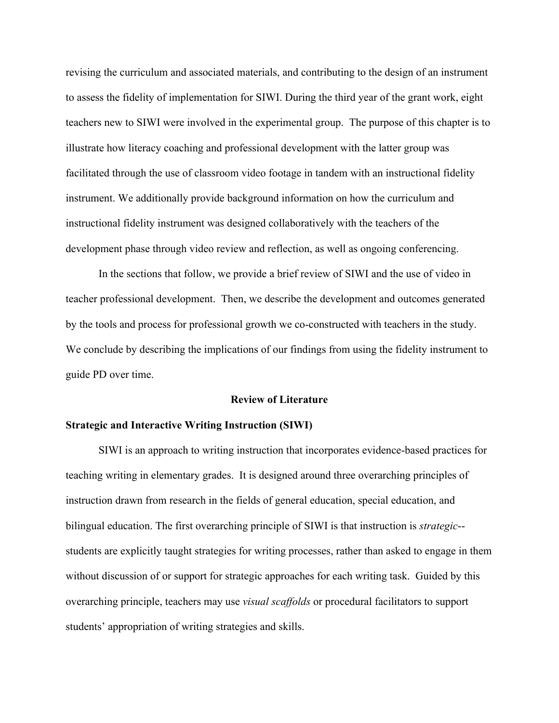revising the curriculum and associated materials, and contributing to the design of an instrument to assess the fidelity of implementation for SIWI. During the third year of the grant work, eight teachers new to SIWI were involved in the experimental group. The purpose of this chapter is to illustrate how literacy coaching and professional development with the latter group was facilitated through the use of classroom video footage in tandem with an instructional fidelity instrument. We additionally provide background information on how the curriculum and instructional fidelity instrument was designed collaboratively with the teachers of the development phase through video review and reflection, as well as ongoing conferencing.

In the sections that follow, we provide a brief review of SIWI and the use of video in teacher professional development. Then, we describe the development and outcomes generated by the tools and process for professional growth we co-constructed with teachers in the study. We conclude by describing the implications of our findings from using the fidelity instrument to guide PD over time.

#### **Review of Literature**

#### **Strategic and Interactive Writing Instruction (SIWI)**

 SIWI is an approach to writing instruction that incorporates evidence-based practices for teaching writing in elementary grades. It is designed around three overarching principles of instruction drawn from research in the fields of general education, special education, and bilingual education. The first overarching principle of SIWI is that instruction is *strategic*- students are explicitly taught strategies for writing processes, rather than asked to engage in them without discussion of or support for strategic approaches for each writing task. Guided by this overarching principle, teachers may use *visual scaffolds* or procedural facilitators to support students' appropriation of writing strategies and skills.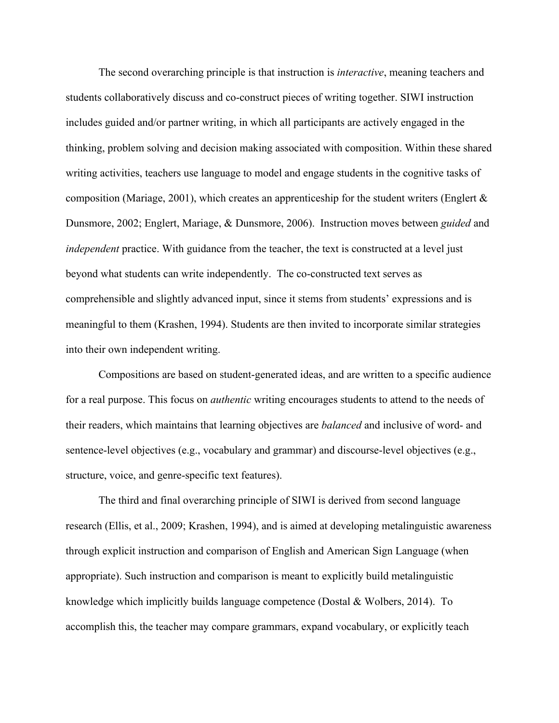The second overarching principle is that instruction is *interactive*, meaning teachers and students collaboratively discuss and co-construct pieces of writing together. SIWI instruction includes guided and/or partner writing, in which all participants are actively engaged in the thinking, problem solving and decision making associated with composition. Within these shared writing activities, teachers use language to model and engage students in the cognitive tasks of composition (Mariage, 2001), which creates an apprenticeship for the student writers (Englert  $\&$ Dunsmore, 2002; Englert, Mariage, & Dunsmore, 2006). Instruction moves between *guided* and *independent* practice. With guidance from the teacher, the text is constructed at a level just beyond what students can write independently. The co-constructed text serves as comprehensible and slightly advanced input, since it stems from students' expressions and is meaningful to them (Krashen, 1994). Students are then invited to incorporate similar strategies into their own independent writing.

Compositions are based on student-generated ideas, and are written to a specific audience for a real purpose. This focus on *authentic* writing encourages students to attend to the needs of their readers, which maintains that learning objectives are *balanced* and inclusive of word- and sentence-level objectives (e.g., vocabulary and grammar) and discourse-level objectives (e.g., structure, voice, and genre-specific text features).

The third and final overarching principle of SIWI is derived from second language research (Ellis, et al., 2009; Krashen, 1994), and is aimed at developing metalinguistic awareness through explicit instruction and comparison of English and American Sign Language (when appropriate). Such instruction and comparison is meant to explicitly build metalinguistic knowledge which implicitly builds language competence (Dostal  $&$  Wolbers, 2014). To accomplish this, the teacher may compare grammars, expand vocabulary, or explicitly teach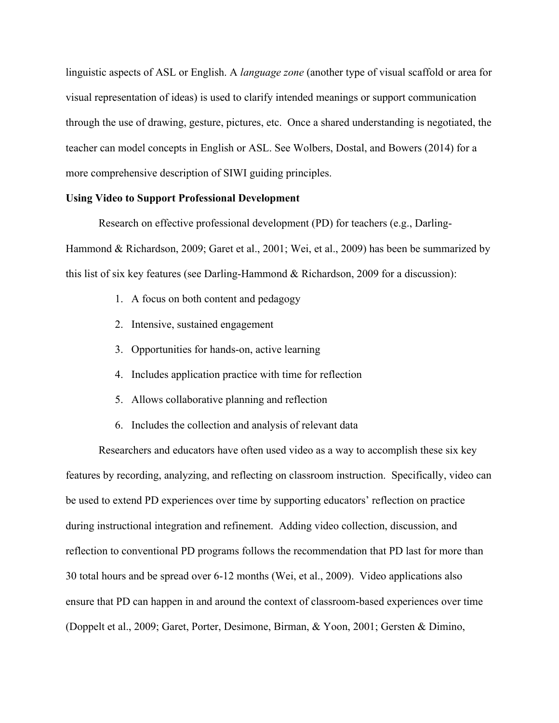linguistic aspects of ASL or English. A *language zone* (another type of visual scaffold or area for visual representation of ideas) is used to clarify intended meanings or support communication through the use of drawing, gesture, pictures, etc. Once a shared understanding is negotiated, the teacher can model concepts in English or ASL. See Wolbers, Dostal, and Bowers (2014) for a more comprehensive description of SIWI guiding principles.

#### **Using Video to Support Professional Development**

Research on effective professional development (PD) for teachers (e.g., Darling-Hammond & Richardson, 2009; Garet et al., 2001; Wei, et al., 2009) has been be summarized by this list of six key features (see Darling-Hammond & Richardson, 2009 for a discussion):

- 1. A focus on both content and pedagogy
- 2. Intensive, sustained engagement
- 3. Opportunities for hands-on, active learning
- 4. Includes application practice with time for reflection
- 5. Allows collaborative planning and reflection
- 6. Includes the collection and analysis of relevant data

Researchers and educators have often used video as a way to accomplish these six key features by recording, analyzing, and reflecting on classroom instruction. Specifically, video can be used to extend PD experiences over time by supporting educators' reflection on practice during instructional integration and refinement. Adding video collection, discussion, and reflection to conventional PD programs follows the recommendation that PD last for more than 30 total hours and be spread over 6-12 months (Wei, et al., 2009). Video applications also ensure that PD can happen in and around the context of classroom-based experiences over time (Doppelt et al., 2009; Garet, Porter, Desimone, Birman, & Yoon, 2001; Gersten & Dimino,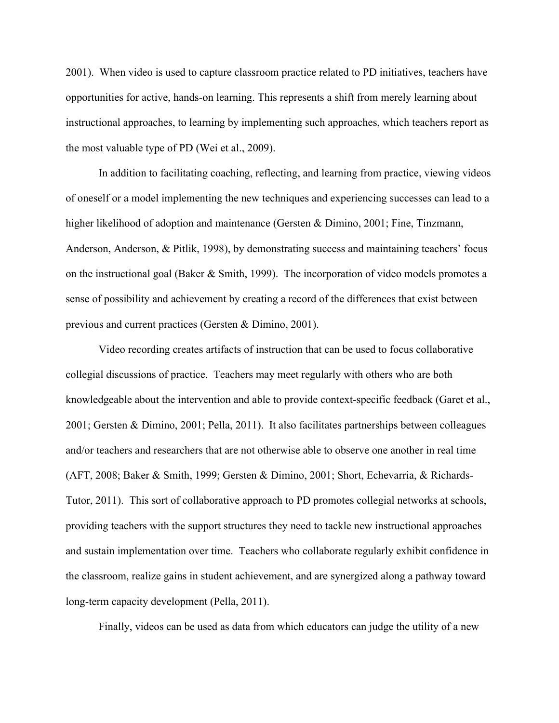2001). When video is used to capture classroom practice related to PD initiatives, teachers have opportunities for active, hands-on learning. This represents a shift from merely learning about instructional approaches, to learning by implementing such approaches, which teachers report as the most valuable type of PD (Wei et al., 2009).

In addition to facilitating coaching, reflecting, and learning from practice, viewing videos of oneself or a model implementing the new techniques and experiencing successes can lead to a higher likelihood of adoption and maintenance (Gersten & Dimino, 2001; Fine, Tinzmann, Anderson, Anderson, & Pitlik, 1998), by demonstrating success and maintaining teachers' focus on the instructional goal (Baker & Smith, 1999). The incorporation of video models promotes a sense of possibility and achievement by creating a record of the differences that exist between previous and current practices (Gersten & Dimino, 2001).

Video recording creates artifacts of instruction that can be used to focus collaborative collegial discussions of practice. Teachers may meet regularly with others who are both knowledgeable about the intervention and able to provide context-specific feedback (Garet et al., 2001; Gersten & Dimino, 2001; Pella, 2011). It also facilitates partnerships between colleagues and/or teachers and researchers that are not otherwise able to observe one another in real time (AFT, 2008; Baker & Smith, 1999; Gersten & Dimino, 2001; Short, Echevarria, & Richards-Tutor, 2011). This sort of collaborative approach to PD promotes collegial networks at schools, providing teachers with the support structures they need to tackle new instructional approaches and sustain implementation over time. Teachers who collaborate regularly exhibit confidence in the classroom, realize gains in student achievement, and are synergized along a pathway toward long-term capacity development (Pella, 2011).

Finally, videos can be used as data from which educators can judge the utility of a new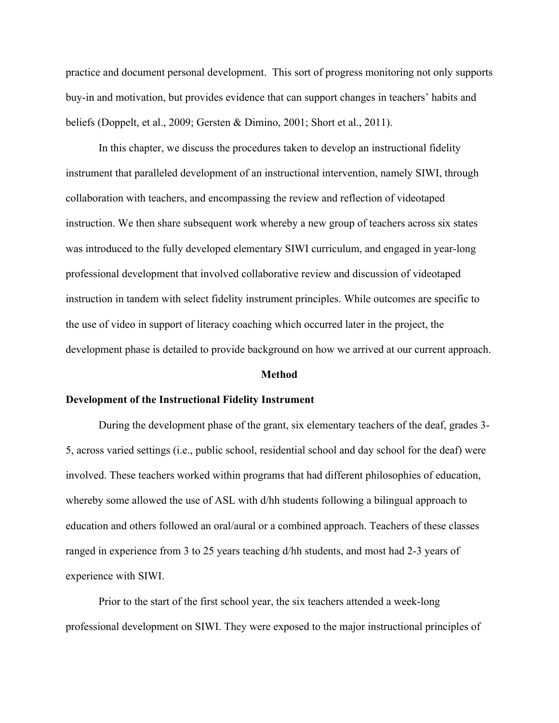practice and document personal development. This sort of progress monitoring not only supports buy-in and motivation, but provides evidence that can support changes in teachers' habits and beliefs (Doppelt, et al., 2009; Gersten & Dimino, 2001; Short et al., 2011).

In this chapter, we discuss the procedures taken to develop an instructional fidelity instrument that paralleled development of an instructional intervention, namely SIWI, through collaboration with teachers, and encompassing the review and reflection of videotaped instruction. We then share subsequent work whereby a new group of teachers across six states was introduced to the fully developed elementary SIWI curriculum, and engaged in year-long professional development that involved collaborative review and discussion of videotaped instruction in tandem with select fidelity instrument principles. While outcomes are specific to the use of video in support of literacy coaching which occurred later in the project, the development phase is detailed to provide background on how we arrived at our current approach.

#### **Method**

#### **Development of the Instructional Fidelity Instrument**

During the development phase of the grant, six elementary teachers of the deaf, grades 3- 5, across varied settings (i.e., public school, residential school and day school for the deaf) were involved. These teachers worked within programs that had different philosophies of education, whereby some allowed the use of ASL with d/hh students following a bilingual approach to education and others followed an oral/aural or a combined approach. Teachers of these classes ranged in experience from 3 to 25 years teaching d/hh students, and most had 2-3 years of experience with SIWI.

Prior to the start of the first school year, the six teachers attended a week-long professional development on SIWI. They were exposed to the major instructional principles of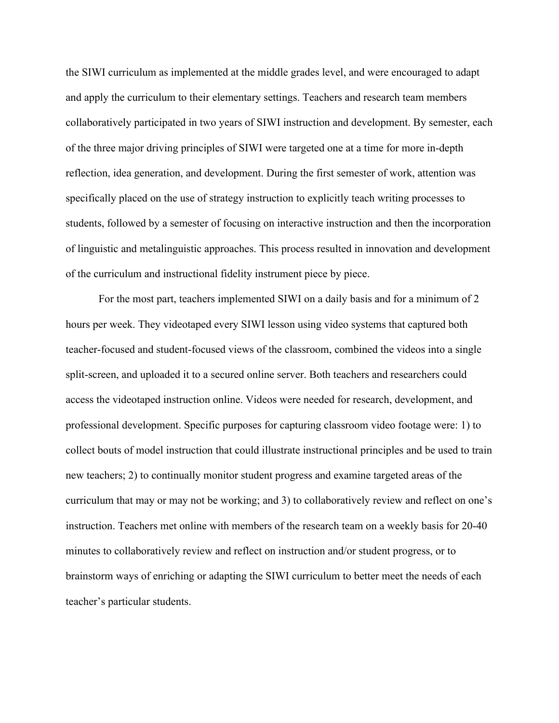the SIWI curriculum as implemented at the middle grades level, and were encouraged to adapt and apply the curriculum to their elementary settings. Teachers and research team members collaboratively participated in two years of SIWI instruction and development. By semester, each of the three major driving principles of SIWI were targeted one at a time for more in-depth reflection, idea generation, and development. During the first semester of work, attention was specifically placed on the use of strategy instruction to explicitly teach writing processes to students, followed by a semester of focusing on interactive instruction and then the incorporation of linguistic and metalinguistic approaches. This process resulted in innovation and development of the curriculum and instructional fidelity instrument piece by piece.

For the most part, teachers implemented SIWI on a daily basis and for a minimum of 2 hours per week. They videotaped every SIWI lesson using video systems that captured both teacher-focused and student-focused views of the classroom, combined the videos into a single split-screen, and uploaded it to a secured online server. Both teachers and researchers could access the videotaped instruction online. Videos were needed for research, development, and professional development. Specific purposes for capturing classroom video footage were: 1) to collect bouts of model instruction that could illustrate instructional principles and be used to train new teachers; 2) to continually monitor student progress and examine targeted areas of the curriculum that may or may not be working; and 3) to collaboratively review and reflect on one's instruction. Teachers met online with members of the research team on a weekly basis for 20-40 minutes to collaboratively review and reflect on instruction and/or student progress, or to brainstorm ways of enriching or adapting the SIWI curriculum to better meet the needs of each teacher's particular students.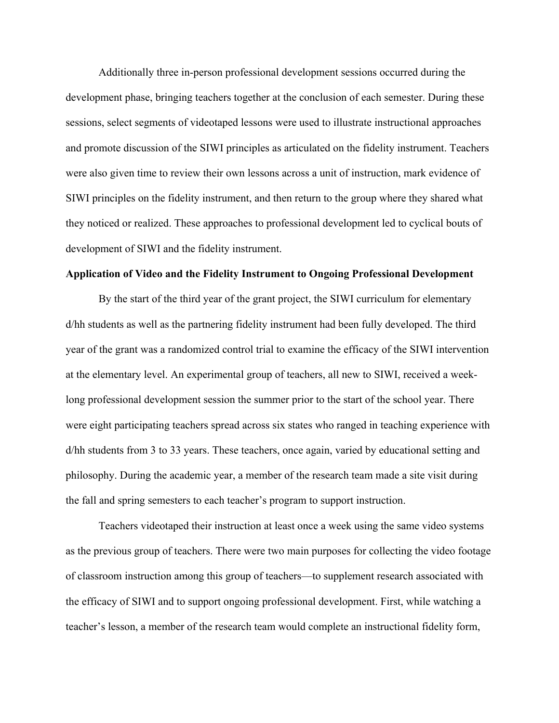Additionally three in-person professional development sessions occurred during the development phase, bringing teachers together at the conclusion of each semester. During these sessions, select segments of videotaped lessons were used to illustrate instructional approaches and promote discussion of the SIWI principles as articulated on the fidelity instrument. Teachers were also given time to review their own lessons across a unit of instruction, mark evidence of SIWI principles on the fidelity instrument, and then return to the group where they shared what they noticed or realized. These approaches to professional development led to cyclical bouts of development of SIWI and the fidelity instrument.

#### **Application of Video and the Fidelity Instrument to Ongoing Professional Development**

By the start of the third year of the grant project, the SIWI curriculum for elementary d/hh students as well as the partnering fidelity instrument had been fully developed. The third year of the grant was a randomized control trial to examine the efficacy of the SIWI intervention at the elementary level. An experimental group of teachers, all new to SIWI, received a weeklong professional development session the summer prior to the start of the school year. There were eight participating teachers spread across six states who ranged in teaching experience with d/hh students from 3 to 33 years. These teachers, once again, varied by educational setting and philosophy. During the academic year, a member of the research team made a site visit during the fall and spring semesters to each teacher's program to support instruction.

Teachers videotaped their instruction at least once a week using the same video systems as the previous group of teachers. There were two main purposes for collecting the video footage of classroom instruction among this group of teachers—to supplement research associated with the efficacy of SIWI and to support ongoing professional development. First, while watching a teacher's lesson, a member of the research team would complete an instructional fidelity form,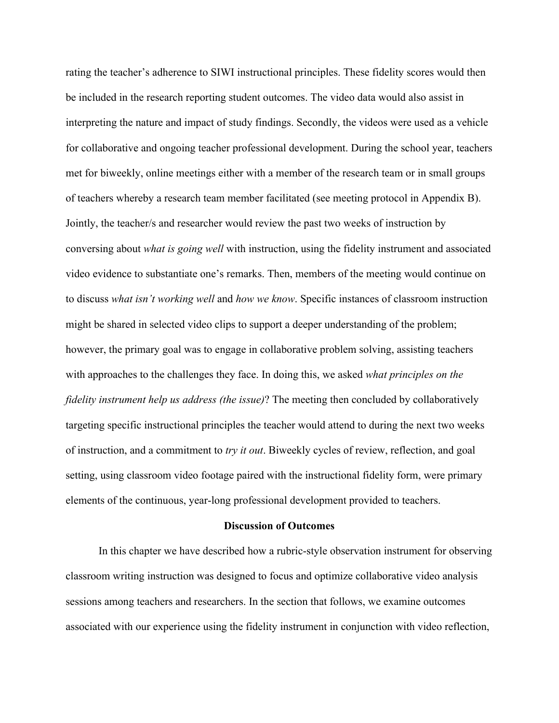rating the teacher's adherence to SIWI instructional principles. These fidelity scores would then be included in the research reporting student outcomes. The video data would also assist in interpreting the nature and impact of study findings. Secondly, the videos were used as a vehicle for collaborative and ongoing teacher professional development. During the school year, teachers met for biweekly, online meetings either with a member of the research team or in small groups of teachers whereby a research team member facilitated (see meeting protocol in Appendix B). Jointly, the teacher/s and researcher would review the past two weeks of instruction by conversing about *what is going well* with instruction, using the fidelity instrument and associated video evidence to substantiate one's remarks. Then, members of the meeting would continue on to discuss *what isn't working well* and *how we know*. Specific instances of classroom instruction might be shared in selected video clips to support a deeper understanding of the problem; however, the primary goal was to engage in collaborative problem solving, assisting teachers with approaches to the challenges they face. In doing this, we asked *what principles on the fidelity instrument help us address (the issue)*? The meeting then concluded by collaboratively targeting specific instructional principles the teacher would attend to during the next two weeks of instruction, and a commitment to *try it out*. Biweekly cycles of review, reflection, and goal setting, using classroom video footage paired with the instructional fidelity form, were primary elements of the continuous, year-long professional development provided to teachers.

#### **Discussion of Outcomes**

In this chapter we have described how a rubric-style observation instrument for observing classroom writing instruction was designed to focus and optimize collaborative video analysis sessions among teachers and researchers. In the section that follows, we examine outcomes associated with our experience using the fidelity instrument in conjunction with video reflection,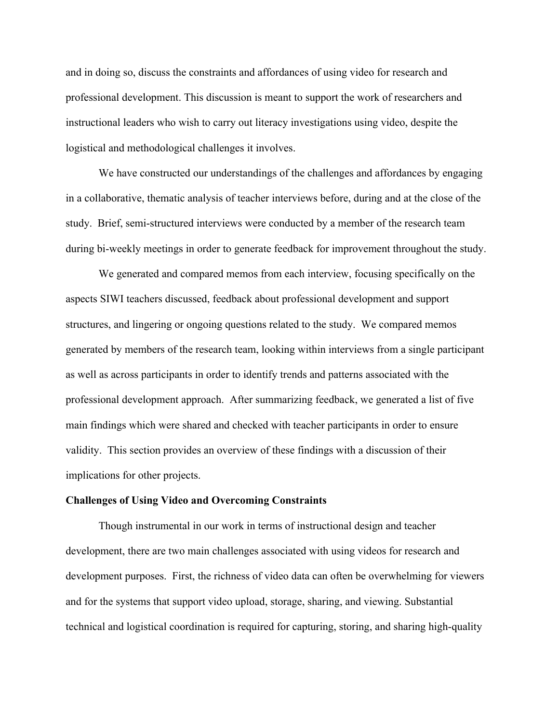and in doing so, discuss the constraints and affordances of using video for research and professional development. This discussion is meant to support the work of researchers and instructional leaders who wish to carry out literacy investigations using video, despite the logistical and methodological challenges it involves.

We have constructed our understandings of the challenges and affordances by engaging in a collaborative, thematic analysis of teacher interviews before, during and at the close of the study. Brief, semi-structured interviews were conducted by a member of the research team during bi-weekly meetings in order to generate feedback for improvement throughout the study.

We generated and compared memos from each interview, focusing specifically on the aspects SIWI teachers discussed, feedback about professional development and support structures, and lingering or ongoing questions related to the study. We compared memos generated by members of the research team, looking within interviews from a single participant as well as across participants in order to identify trends and patterns associated with the professional development approach. After summarizing feedback, we generated a list of five main findings which were shared and checked with teacher participants in order to ensure validity. This section provides an overview of these findings with a discussion of their implications for other projects.

#### **Challenges of Using Video and Overcoming Constraints**

Though instrumental in our work in terms of instructional design and teacher development, there are two main challenges associated with using videos for research and development purposes. First, the richness of video data can often be overwhelming for viewers and for the systems that support video upload, storage, sharing, and viewing. Substantial technical and logistical coordination is required for capturing, storing, and sharing high-quality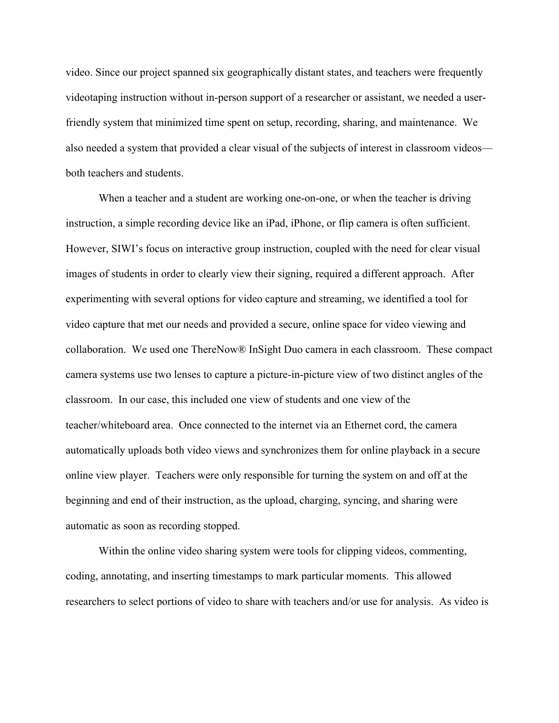video. Since our project spanned six geographically distant states, and teachers were frequently videotaping instruction without in-person support of a researcher or assistant, we needed a userfriendly system that minimized time spent on setup, recording, sharing, and maintenance. We also needed a system that provided a clear visual of the subjects of interest in classroom videos both teachers and students.

When a teacher and a student are working one-on-one, or when the teacher is driving instruction, a simple recording device like an iPad, iPhone, or flip camera is often sufficient. However, SIWI's focus on interactive group instruction, coupled with the need for clear visual images of students in order to clearly view their signing, required a different approach. After experimenting with several options for video capture and streaming, we identified a tool for video capture that met our needs and provided a secure, online space for video viewing and collaboration. We used one ThereNow® InSight Duo camera in each classroom. These compact camera systems use two lenses to capture a picture-in-picture view of two distinct angles of the classroom. In our case, this included one view of students and one view of the teacher/whiteboard area. Once connected to the internet via an Ethernet cord, the camera automatically uploads both video views and synchronizes them for online playback in a secure online view player. Teachers were only responsible for turning the system on and off at the beginning and end of their instruction, as the upload, charging, syncing, and sharing were automatic as soon as recording stopped.

Within the online video sharing system were tools for clipping videos, commenting, coding, annotating, and inserting timestamps to mark particular moments. This allowed researchers to select portions of video to share with teachers and/or use for analysis. As video is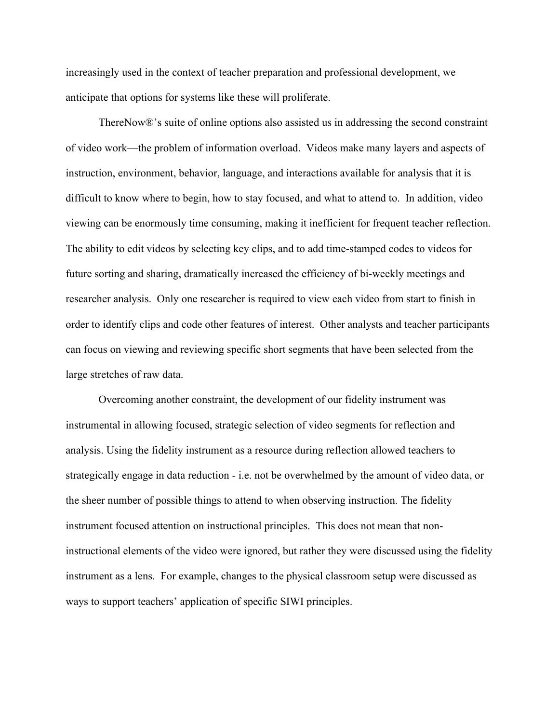increasingly used in the context of teacher preparation and professional development, we anticipate that options for systems like these will proliferate.

ThereNow®'s suite of online options also assisted us in addressing the second constraint of video work—the problem of information overload. Videos make many layers and aspects of instruction, environment, behavior, language, and interactions available for analysis that it is difficult to know where to begin, how to stay focused, and what to attend to. In addition, video viewing can be enormously time consuming, making it inefficient for frequent teacher reflection. The ability to edit videos by selecting key clips, and to add time-stamped codes to videos for future sorting and sharing, dramatically increased the efficiency of bi-weekly meetings and researcher analysis. Only one researcher is required to view each video from start to finish in order to identify clips and code other features of interest. Other analysts and teacher participants can focus on viewing and reviewing specific short segments that have been selected from the large stretches of raw data.

Overcoming another constraint, the development of our fidelity instrument was instrumental in allowing focused, strategic selection of video segments for reflection and analysis. Using the fidelity instrument as a resource during reflection allowed teachers to strategically engage in data reduction - i.e. not be overwhelmed by the amount of video data, or the sheer number of possible things to attend to when observing instruction. The fidelity instrument focused attention on instructional principles. This does not mean that noninstructional elements of the video were ignored, but rather they were discussed using the fidelity instrument as a lens. For example, changes to the physical classroom setup were discussed as ways to support teachers' application of specific SIWI principles.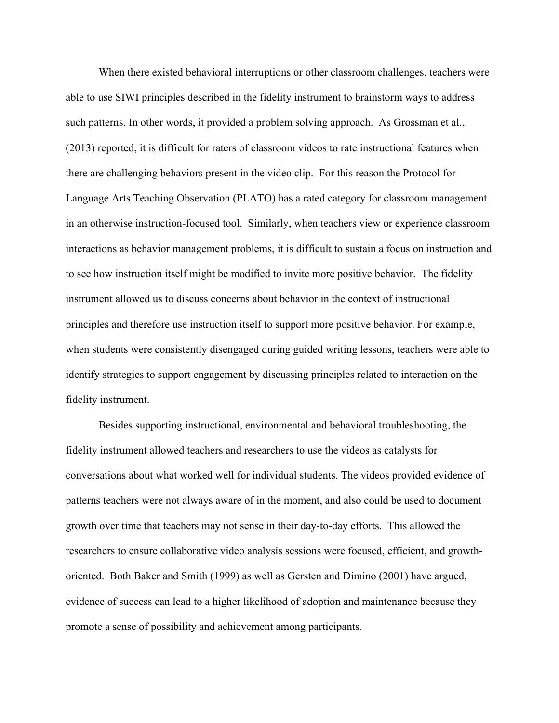When there existed behavioral interruptions or other classroom challenges, teachers were able to use SIWI principles described in the fidelity instrument to brainstorm ways to address such patterns. In other words, it provided a problem solving approach. As Grossman et al., (2013) reported, it is difficult for raters of classroom videos to rate instructional features when there are challenging behaviors present in the video clip. For this reason the Protocol for Language Arts Teaching Observation (PLATO) has a rated category for classroom management in an otherwise instruction-focused tool. Similarly, when teachers view or experience classroom interactions as behavior management problems, it is difficult to sustain a focus on instruction and to see how instruction itself might be modified to invite more positive behavior. The fidelity instrument allowed us to discuss concerns about behavior in the context of instructional principles and therefore use instruction itself to support more positive behavior. For example, when students were consistently disengaged during guided writing lessons, teachers were able to identify strategies to support engagement by discussing principles related to interaction on the fidelity instrument.

Besides supporting instructional, environmental and behavioral troubleshooting, the fidelity instrument allowed teachers and researchers to use the videos as catalysts for conversations about what worked well for individual students. The videos provided evidence of patterns teachers were not always aware of in the moment, and also could be used to document growth over time that teachers may not sense in their day-to-day efforts. This allowed the researchers to ensure collaborative video analysis sessions were focused, efficient, and growthoriented. Both Baker and Smith (1999) as well as Gersten and Dimino (2001) have argued, evidence of success can lead to a higher likelihood of adoption and maintenance because they promote a sense of possibility and achievement among participants.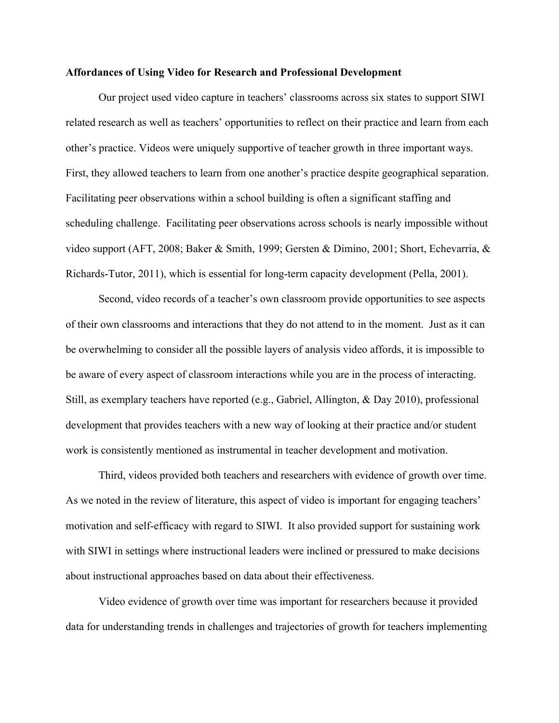#### **Affordances of Using Video for Research and Professional Development**

Our project used video capture in teachers' classrooms across six states to support SIWI related research as well as teachers' opportunities to reflect on their practice and learn from each other's practice. Videos were uniquely supportive of teacher growth in three important ways. First, they allowed teachers to learn from one another's practice despite geographical separation. Facilitating peer observations within a school building is often a significant staffing and scheduling challenge. Facilitating peer observations across schools is nearly impossible without video support (AFT, 2008; Baker & Smith, 1999; Gersten & Dimino, 2001; Short, Echevarria, & Richards-Tutor, 2011), which is essential for long-term capacity development (Pella, 2001).

Second, video records of a teacher's own classroom provide opportunities to see aspects of their own classrooms and interactions that they do not attend to in the moment. Just as it can be overwhelming to consider all the possible layers of analysis video affords, it is impossible to be aware of every aspect of classroom interactions while you are in the process of interacting. Still, as exemplary teachers have reported (e.g., Gabriel, Allington, & Day 2010), professional development that provides teachers with a new way of looking at their practice and/or student work is consistently mentioned as instrumental in teacher development and motivation.

Third, videos provided both teachers and researchers with evidence of growth over time. As we noted in the review of literature, this aspect of video is important for engaging teachers' motivation and self-efficacy with regard to SIWI. It also provided support for sustaining work with SIWI in settings where instructional leaders were inclined or pressured to make decisions about instructional approaches based on data about their effectiveness.

Video evidence of growth over time was important for researchers because it provided data for understanding trends in challenges and trajectories of growth for teachers implementing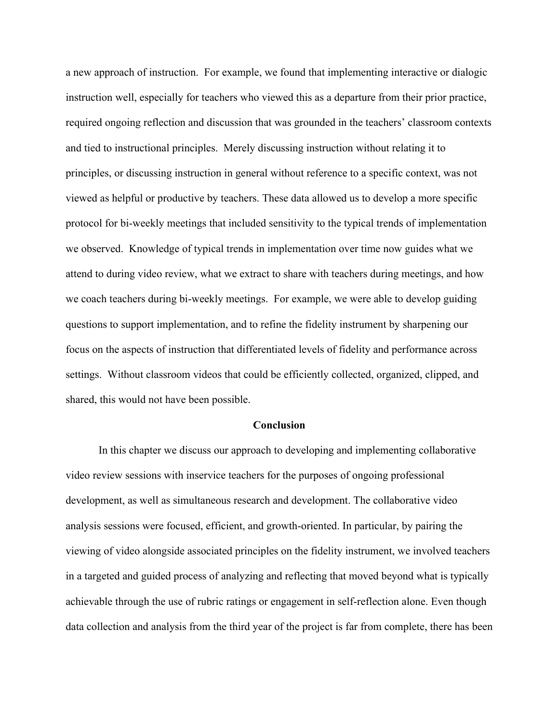a new approach of instruction. For example, we found that implementing interactive or dialogic instruction well, especially for teachers who viewed this as a departure from their prior practice, required ongoing reflection and discussion that was grounded in the teachers' classroom contexts and tied to instructional principles. Merely discussing instruction without relating it to principles, or discussing instruction in general without reference to a specific context, was not viewed as helpful or productive by teachers. These data allowed us to develop a more specific protocol for bi-weekly meetings that included sensitivity to the typical trends of implementation we observed. Knowledge of typical trends in implementation over time now guides what we attend to during video review, what we extract to share with teachers during meetings, and how we coach teachers during bi-weekly meetings. For example, we were able to develop guiding questions to support implementation, and to refine the fidelity instrument by sharpening our focus on the aspects of instruction that differentiated levels of fidelity and performance across settings. Without classroom videos that could be efficiently collected, organized, clipped, and shared, this would not have been possible.

#### **Conclusion**

In this chapter we discuss our approach to developing and implementing collaborative video review sessions with inservice teachers for the purposes of ongoing professional development, as well as simultaneous research and development. The collaborative video analysis sessions were focused, efficient, and growth-oriented. In particular, by pairing the viewing of video alongside associated principles on the fidelity instrument, we involved teachers in a targeted and guided process of analyzing and reflecting that moved beyond what is typically achievable through the use of rubric ratings or engagement in self-reflection alone. Even though data collection and analysis from the third year of the project is far from complete, there has been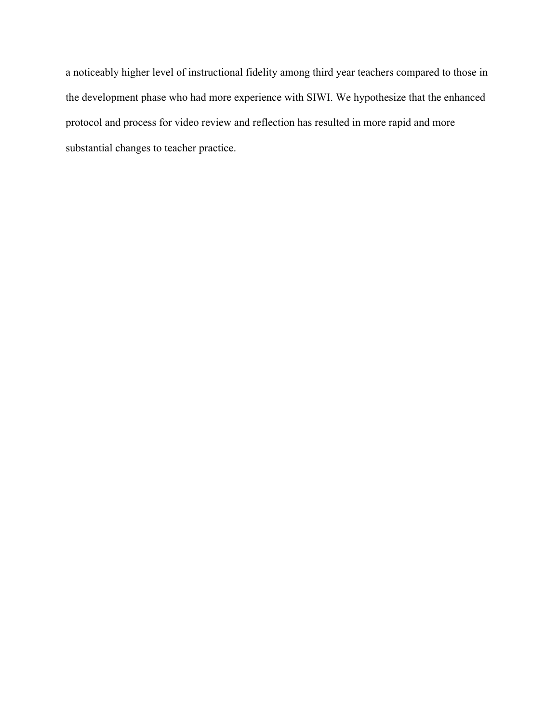a noticeably higher level of instructional fidelity among third year teachers compared to those in the development phase who had more experience with SIWI. We hypothesize that the enhanced protocol and process for video review and reflection has resulted in more rapid and more substantial changes to teacher practice.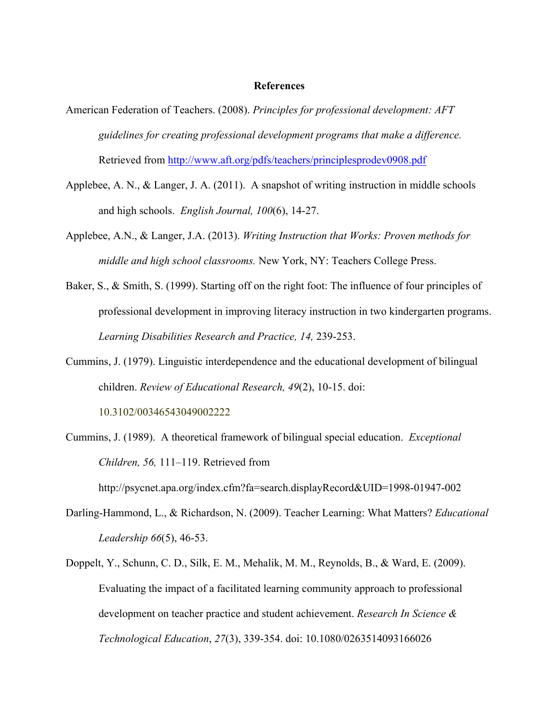### **References**

- American Federation of Teachers. (2008). *Principles for professional development: AFT guidelines for creating professional development programs that make a difference.*  Retrieved from http://www.aft.org/pdfs/teachers/principlesprodev0908.pdf
- Applebee, A. N., & Langer, J. A. (2011). A snapshot of writing instruction in middle schools and high schools. *English Journal, 100*(6), 14-27.
- Applebee, A.N., & Langer, J.A. (2013). *Writing Instruction that Works: Proven methods for middle and high school classrooms.* New York, NY: Teachers College Press.
- Baker, S., & Smith, S. (1999). Starting off on the right foot: The influence of four principles of professional development in improving literacy instruction in two kindergarten programs. *Learning Disabilities Research and Practice, 14,* 239-253.
- Cummins, J. (1979). Linguistic interdependence and the educational development of bilingual children. *Review of Educational Research, 49*(2), 10-15. doi:

10.3102/00346543049002222

- Cummins, J. (1989). A theoretical framework of bilingual special education. *Exceptional Children, 56,* 111–119. Retrieved from http://psycnet.apa.org/index.cfm?fa=search.displayRecord&UID=1998-01947-002
- Darling-Hammond, L., & Richardson, N. (2009). Teacher Learning: What Matters? *Educational*
- *Leadership 66*(5), 46-53.
- Doppelt, Y., Schunn, C. D., Silk, E. M., Mehalik, M. M., Reynolds, B., & Ward, E. (2009). Evaluating the impact of a facilitated learning community approach to professional development on teacher practice and student achievement. *Research In Science & Technological Education*, *27*(3), 339-354. doi: 10.1080/0263514093166026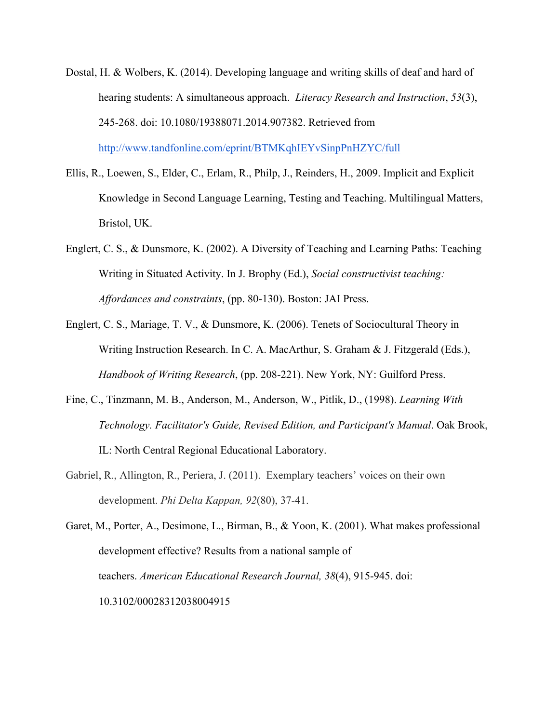- Dostal, H. & Wolbers, K. (2014). Developing language and writing skills of deaf and hard of hearing students: A simultaneous approach. *Literacy Research and Instruction*, *53*(3), 245-268. doi: 10.1080/19388071.2014.907382. Retrieved from http://www.tandfonline.com/eprint/BTMKqhIEYvSinpPnHZYC/full
- Ellis, R., Loewen, S., Elder, C., Erlam, R., Philp, J., Reinders, H., 2009. Implicit and Explicit Knowledge in Second Language Learning, Testing and Teaching. Multilingual Matters, Bristol, UK.
- Englert, C. S., & Dunsmore, K. (2002). A Diversity of Teaching and Learning Paths: Teaching Writing in Situated Activity. In J. Brophy (Ed.), *Social constructivist teaching: Affordances and constraints*, (pp. 80-130). Boston: JAI Press.
- Englert, C. S., Mariage, T. V., & Dunsmore, K. (2006). Tenets of Sociocultural Theory in Writing Instruction Research. In C. A. MacArthur, S. Graham & J. Fitzgerald (Eds.), *Handbook of Writing Research*, (pp. 208-221). New York, NY: Guilford Press.
- Fine, C., Tinzmann, M. B., Anderson, M., Anderson, W., Pitlik, D., (1998). *Learning With Technology. Facilitator's Guide, Revised Edition, and Participant's Manual*. Oak Brook, IL: North Central Regional Educational Laboratory.
- Gabriel, R., Allington, R., Periera, J. (2011). Exemplary teachers' voices on their own development. *Phi Delta Kappan, 92*(80), 37-41.

Garet, M., Porter, A., Desimone, L., Birman, B., & Yoon, K. (2001). What makes professional development effective? Results from a national sample of teachers. *American Educational Research Journal, 38*(4), 915-945. doi: 10.3102/00028312038004915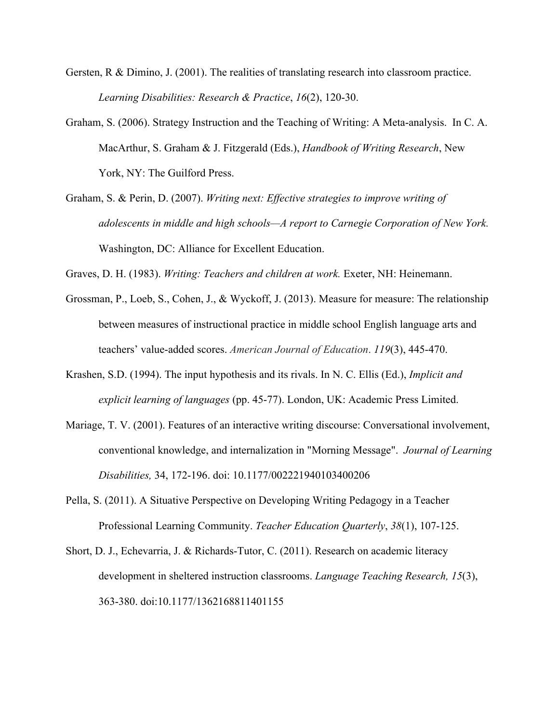- Gersten, R & Dimino, J. (2001). The realities of translating research into classroom practice. *Learning Disabilities: Research & Practice*, *16*(2), 120-30.
- Graham, S. (2006). Strategy Instruction and the Teaching of Writing: A Meta-analysis. In C. A. MacArthur, S. Graham & J. Fitzgerald (Eds.), *Handbook of Writing Research*, New York, NY: The Guilford Press.
- Graham, S. & Perin, D. (2007). *Writing next: Effective strategies to improve writing of adolescents in middle and high schools—A report to Carnegie Corporation of New York.* Washington, DC: Alliance for Excellent Education.
- Graves, D. H. (1983). *Writing: Teachers and children at work.* Exeter, NH: Heinemann.
- Grossman, P., Loeb, S., Cohen, J., & Wyckoff, J. (2013). Measure for measure: The relationship between measures of instructional practice in middle school English language arts and teachers' value-added scores. *American Journal of Education*. *119*(3), 445-470.
- Krashen, S.D. (1994). The input hypothesis and its rivals. In N. C. Ellis (Ed.), *Implicit and explicit learning of languages* (pp. 45-77). London, UK: Academic Press Limited.
- Mariage, T. V. (2001). Features of an interactive writing discourse: Conversational involvement, conventional knowledge, and internalization in "Morning Message". *Journal of Learning Disabilities,* 34, 172-196. doi: 10.1177/002221940103400206
- Pella, S. (2011). A Situative Perspective on Developing Writing Pedagogy in a Teacher Professional Learning Community. *Teacher Education Quarterly*, *38*(1), 107-125.
- Short, D. J., Echevarria, J. & Richards-Tutor, C. (2011). Research on academic literacy development in sheltered instruction classrooms. *Language Teaching Research, 15*(3), 363-380. doi:10.1177/1362168811401155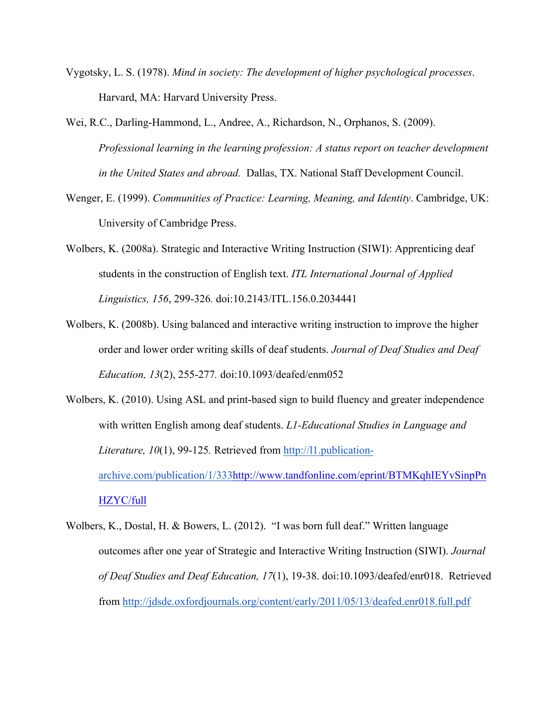- Vygotsky, L. S. (1978). *Mind in society: The development of higher psychological processes*. Harvard, MA: Harvard University Press.
- Wei, R.C., Darling-Hammond, L., Andree, A., Richardson, N., Orphanos, S. (2009). *Professional learning in the learning profession: A status report on teacher development in the United States and abroad.* Dallas, TX. National Staff Development Council.
- Wenger, E. (1999). *Communities of Practice: Learning, Meaning, and Identity*. Cambridge, UK: University of Cambridge Press.
- Wolbers, K. (2008a). Strategic and Interactive Writing Instruction (SIWI): Apprenticing deaf students in the construction of English text. *ITL International Journal of Applied Linguistics, 156*, 299-326*.* doi:10.2143/ITL.156.0.2034441
- Wolbers, K. (2008b). Using balanced and interactive writing instruction to improve the higher order and lower order writing skills of deaf students. *Journal of Deaf Studies and Deaf Education, 13*(2), 255-277*.* doi:10.1093/deafed/enm052
- Wolbers, K. (2010). Using ASL and print-based sign to build fluency and greater independence with written English among deaf students. *L1-Educational Studies in Language and Literature, 10*(1), 99-125*.* Retrieved from http://l1.publicationarchive.com/publication/1/333http://www.tandfonline.com/eprint/BTMKqhIEYvSinpPn HZYC/full
- Wolbers, K., Dostal, H. & Bowers, L. (2012). "I was born full deaf." Written language outcomes after one year of Strategic and Interactive Writing Instruction (SIWI). *Journal of Deaf Studies and Deaf Education, 17*(1), 19-38. doi:10.1093/deafed/enr018. Retrieved from http://jdsde.oxfordjournals.org/content/early/2011/05/13/deafed.enr018.full.pdf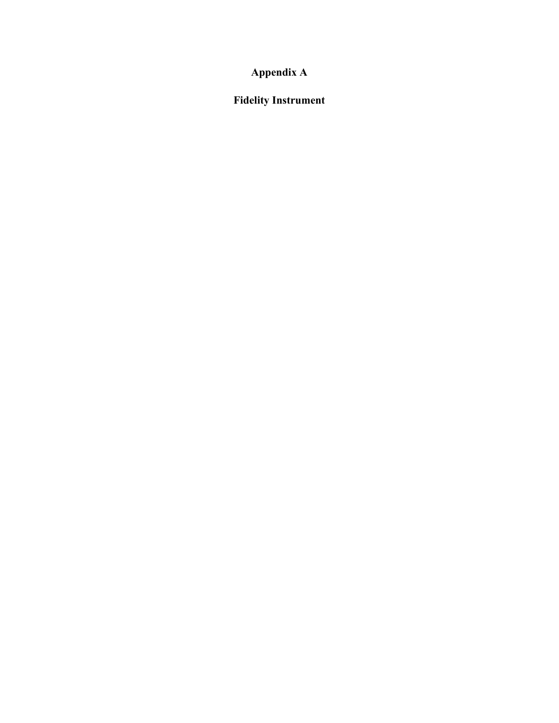## **Appendix A**

## **Fidelity Instrument**